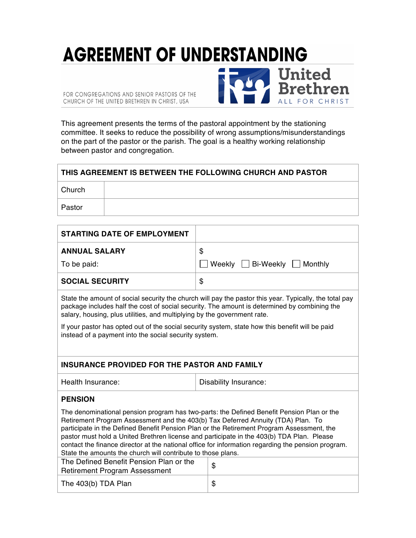## **AGREEMENT OF UNDERSTANDING United<br>Brethren**

FOR CONGREGATIONS AND SENIOR PASTORS OF THE CHURCH OF THE UNITED BRETHREN IN CHRIST, USA

This agreement presents the terms of the pastoral appointment by the stationing committee. It seeks to reduce the possibility of wrong assumptions/misunderstandings on the part of the pastor or the parish. The goal is a healthy working relationship between pastor and congregation.

ALL FOR CHRIST

## **THIS AGREEMENT IS BETWEEN THE FOLLOWING CHURCH AND PASTOR**

**Church** 

Pastor

| <b>STARTING DATE OF EMPLOYMENT</b>                                                                                                                                                                                                                                                                                                                                                                                                                                                                                                            |                                  |  |
|-----------------------------------------------------------------------------------------------------------------------------------------------------------------------------------------------------------------------------------------------------------------------------------------------------------------------------------------------------------------------------------------------------------------------------------------------------------------------------------------------------------------------------------------------|----------------------------------|--|
| <b>ANNUAL SALARY</b>                                                                                                                                                                                                                                                                                                                                                                                                                                                                                                                          | \$                               |  |
| To be paid:                                                                                                                                                                                                                                                                                                                                                                                                                                                                                                                                   | Weekly     Bi-Weekly     Monthly |  |
| <b>SOCIAL SECURITY</b>                                                                                                                                                                                                                                                                                                                                                                                                                                                                                                                        | \$                               |  |
| State the amount of social security the church will pay the pastor this year. Typically, the total pay<br>package includes half the cost of social security. The amount is determined by combining the<br>salary, housing, plus utilities, and multiplying by the government rate.<br>If your pastor has opted out of the social security system, state how this benefit will be paid<br>instead of a payment into the social security system.                                                                                                |                                  |  |
| <b>INSURANCE PROVIDED FOR THE PASTOR AND FAMILY</b>                                                                                                                                                                                                                                                                                                                                                                                                                                                                                           |                                  |  |
| Health Insurance:                                                                                                                                                                                                                                                                                                                                                                                                                                                                                                                             | Disability Insurance:            |  |
| <b>PENSION</b>                                                                                                                                                                                                                                                                                                                                                                                                                                                                                                                                |                                  |  |
| The denominational pension program has two-parts: the Defined Benefit Pension Plan or the<br>Retirement Program Assessment and the 403(b) Tax Deferred Annuity (TDA) Plan. To<br>participate in the Defined Benefit Pension Plan or the Retirement Program Assessment, the<br>pastor must hold a United Brethren license and participate in the 403(b) TDA Plan. Please<br>contact the finance director at the national office for information regarding the pension program.<br>State the amounts the church will contribute to those plans. |                                  |  |
| The Defined Benefit Pension Plan or the<br><b>Retirement Program Assessment</b>                                                                                                                                                                                                                                                                                                                                                                                                                                                               | \$                               |  |
| The 403(b) TDA Plan                                                                                                                                                                                                                                                                                                                                                                                                                                                                                                                           | \$                               |  |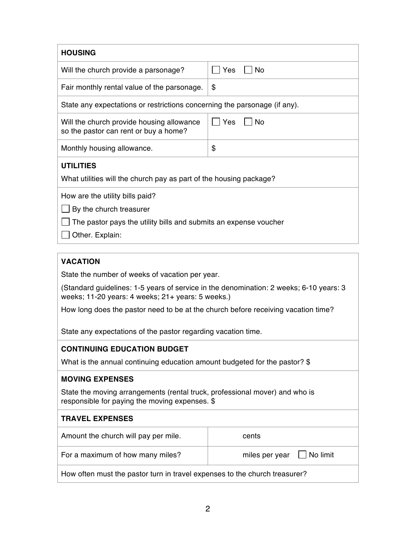| <b>HOUSING</b>                                                                                                                                    |                            |  |
|---------------------------------------------------------------------------------------------------------------------------------------------------|----------------------------|--|
| Will the church provide a parsonage?                                                                                                              | Yes<br><b>No</b>           |  |
| Fair monthly rental value of the parsonage.                                                                                                       | \$                         |  |
| State any expectations or restrictions concerning the parsonage (if any).                                                                         |                            |  |
| Will the church provide housing allowance<br>so the pastor can rent or buy a home?                                                                | Yes<br>No                  |  |
| Monthly housing allowance.                                                                                                                        | \$                         |  |
| <b>UTILITIES</b>                                                                                                                                  |                            |  |
| What utilities will the church pay as part of the housing package?                                                                                |                            |  |
| How are the utility bills paid?<br>By the church treasurer<br>The pastor pays the utility bills and submits an expense voucher<br>Other. Explain: |                            |  |
| <b>VACATION</b>                                                                                                                                   |                            |  |
| State the number of weeks of vacation per year.                                                                                                   |                            |  |
| (Standard guidelines: 1-5 years of service in the denomination: 2 weeks; 6-10 years: 3<br>weeks; 11-20 years: 4 weeks; 21+ years: 5 weeks.)       |                            |  |
| How long does the pastor need to be at the church before receiving vacation time?                                                                 |                            |  |
| State any expectations of the pastor regarding vacation time.                                                                                     |                            |  |
| <b>CONTINUING EDUCATION BUDGET</b>                                                                                                                |                            |  |
| What is the annual continuing education amount budgeted for the pastor? \$                                                                        |                            |  |
| <b>MOVING EXPENSES</b>                                                                                                                            |                            |  |
| State the moving arrangements (rental truck, professional mover) and who is<br>responsible for paying the moving expenses. \$                     |                            |  |
| <b>TRAVEL EXPENSES</b>                                                                                                                            |                            |  |
| Amount the church will pay per mile.                                                                                                              | cents                      |  |
| For a maximum of how many miles?                                                                                                                  | No limit<br>miles per year |  |

How often must the pastor turn in travel expenses to the church treasurer?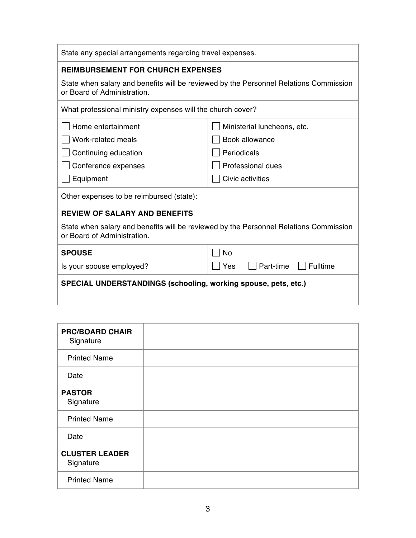| State any special arrangements regarding travel expenses.                                                            |                              |  |
|----------------------------------------------------------------------------------------------------------------------|------------------------------|--|
| <b>REIMBURSEMENT FOR CHURCH EXPENSES</b>                                                                             |                              |  |
| State when salary and benefits will be reviewed by the Personnel Relations Commission<br>or Board of Administration. |                              |  |
| What professional ministry expenses will the church cover?                                                           |                              |  |
| Home entertainment                                                                                                   | Ministerial luncheons, etc.  |  |
| Work-related meals                                                                                                   | Book allowance               |  |
| Continuing education                                                                                                 | Periodicals                  |  |
| Conference expenses                                                                                                  | <b>Professional dues</b>     |  |
| Equipment                                                                                                            | Civic activities             |  |
| Other expenses to be reimbursed (state):                                                                             |                              |  |
| <b>REVIEW OF SALARY AND BENEFITS</b>                                                                                 |                              |  |
| State when salary and benefits will be reviewed by the Personnel Relations Commission<br>or Board of Administration. |                              |  |
| <b>SPOUSE</b>                                                                                                        | <b>No</b>                    |  |
| Is your spouse employed?                                                                                             | Yes<br>Part-time<br>Fulltime |  |
| SPECIAL UNDERSTANDINGS (schooling, working spouse, pets, etc.)                                                       |                              |  |

| <b>PRC/BOARD CHAIR</b><br>Signature |  |
|-------------------------------------|--|
| <b>Printed Name</b>                 |  |
| Date                                |  |
| <b>PASTOR</b><br>Signature          |  |
| <b>Printed Name</b>                 |  |
| Date                                |  |
| <b>CLUSTER LEADER</b><br>Signature  |  |
| <b>Printed Name</b>                 |  |